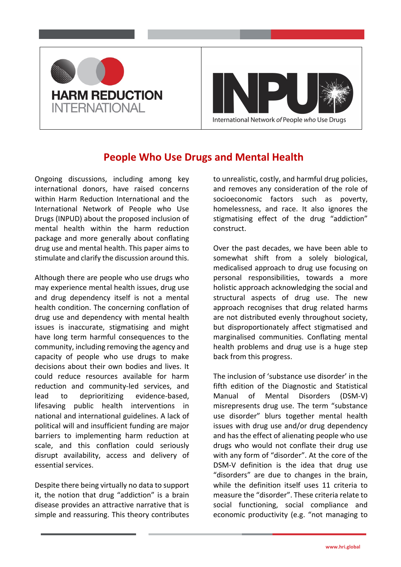

## **People Who Use Drugs and Mental Health**

Ongoing discussions, including among key international donors, have raised concerns within Harm Reduction International and the International Network of People who Use Drugs (INPUD) about the proposed inclusion of mental health within the harm reduction package and more generally about conflating drug use and mental health. This paper aims to stimulate and clarify the discussion around this.

Although there are people who use drugs who may experience mental health issues, drug use and drug dependency itself is not a mental health condition. The concerning conflation of drug use and dependency with mental health issues is inaccurate, stigmatising and might have long term harmful consequences to the community, including removing the agency and capacity of people who use drugs to make decisions about their own bodies and lives. It could reduce resources available for harm reduction and community-led services, and lead to deprioritizing evidence-based, lifesaving public health interventions in national and international guidelines. A lack of political will and insufficient funding are major barriers to implementing harm reduction at scale, and this conflation could seriously disrupt availability, access and delivery of essential services.

Despite there being virtually no data to support it, the notion that drug "addiction" is a brain disease provides an attractive narrative that is simple and reassuring. This theory contributes

to unrealistic, costly, and harmful drug policies, and removes any consideration of the role of socioeconomic factors such as poverty, homelessness, and race. It also ignores the stigmatising effect of the drug "addiction" construct.

Over the past decades, we have been able to somewhat shift from a solely biological, medicalised approach to drug use focusing on personal responsibilities, towards a more holistic approach acknowledging the social and structural aspects of drug use. The new approach recognises that drug related harms are not distributed evenly throughout society, but disproportionately affect stigmatised and marginalised communities. Conflating mental health problems and drug use is a huge step back from this progress.

The inclusion of 'substance use disorder' in the fifth edition of the Diagnostic and Statistical Manual of Mental Disorders (DSM-V) misrepresents drug use. The term "substance use disorder" blurs together mental health issues with drug use and/or drug dependency and has the effect of alienating people who use drugs who would not conflate their drug use with any form of "disorder". At the core of the DSM-V definition is the idea that drug use "disorders" are due to changes in the brain, while the definition itself uses 11 criteria to measure the "disorder". These criteria relate to social functioning, social compliance and economic productivity (e.g. "not managing to